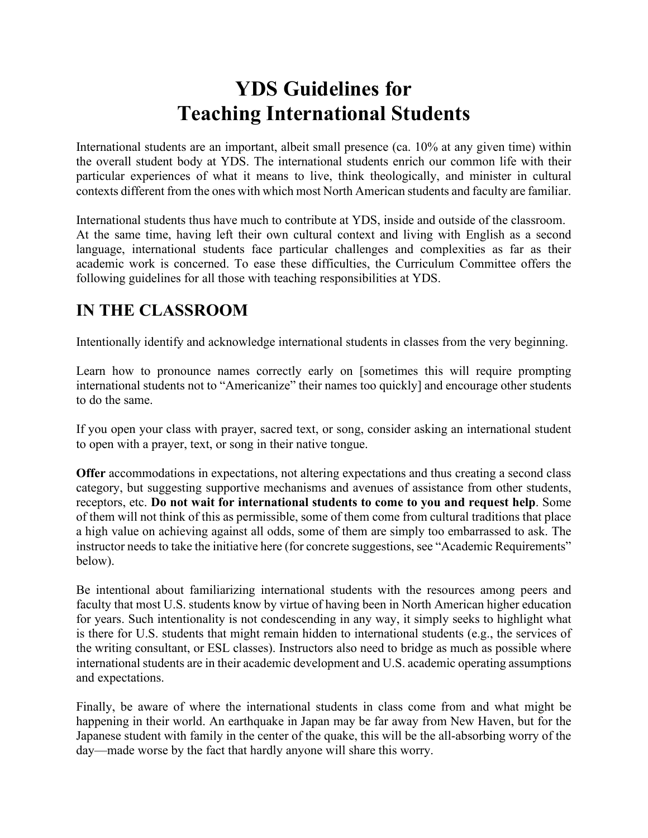# **YDS Guidelines for Teaching International Students**

International students are an important, albeit small presence (ca. 10% at any given time) within the overall student body at YDS. The international students enrich our common life with their particular experiences of what it means to live, think theologically, and minister in cultural contexts different from the ones with which most North American students and faculty are familiar.

International students thus have much to contribute at YDS, inside and outside of the classroom. At the same time, having left their own cultural context and living with English as a second language, international students face particular challenges and complexities as far as their academic work is concerned. To ease these difficulties, the Curriculum Committee offers the following guidelines for all those with teaching responsibilities at YDS.

## **IN THE CLASSROOM**

Intentionally identify and acknowledge international students in classes from the very beginning.

Learn how to pronounce names correctly early on [sometimes this will require prompting international students not to "Americanize" their names too quickly] and encourage other students to do the same.

If you open your class with prayer, sacred text, or song, consider asking an international student to open with a prayer, text, or song in their native tongue.

**Offer** accommodations in expectations, not altering expectations and thus creating a second class category, but suggesting supportive mechanisms and avenues of assistance from other students, receptors, etc. **Do not wait for international students to come to you and request help**. Some of them will not think of this as permissible, some of them come from cultural traditions that place a high value on achieving against all odds, some of them are simply too embarrassed to ask. The instructor needs to take the initiative here (for concrete suggestions, see "Academic Requirements" below).

Be intentional about familiarizing international students with the resources among peers and faculty that most U.S. students know by virtue of having been in North American higher education for years. Such intentionality is not condescending in any way, it simply seeks to highlight what is there for U.S. students that might remain hidden to international students (e.g., the services of the writing consultant, or ESL classes). Instructors also need to bridge as much as possible where international students are in their academic development and U.S. academic operating assumptions and expectations.

Finally, be aware of where the international students in class come from and what might be happening in their world. An earthquake in Japan may be far away from New Haven, but for the Japanese student with family in the center of the quake, this will be the all-absorbing worry of the day—made worse by the fact that hardly anyone will share this worry.